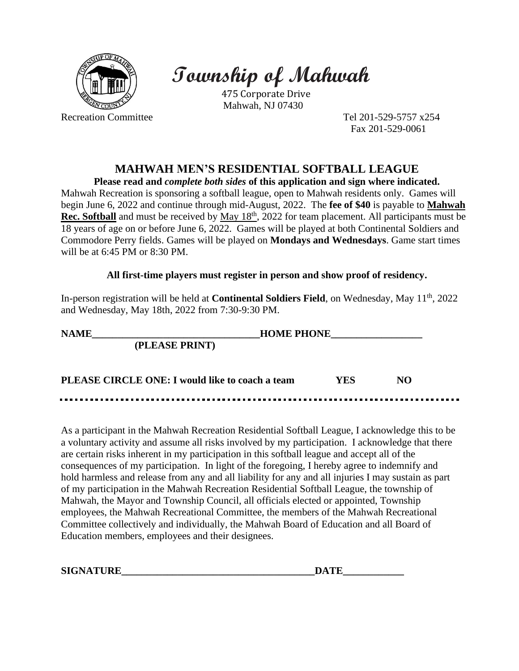

## **Township of Mahwah**

475 Corporate Drive Mahwah, NJ 07430

Recreation Committee Tel 201-529-5757 x254 Fax 201-529-0061

## **MAHWAH MEN'S RESIDENTIAL SOFTBALL LEAGUE**

**Please read and** *complete both sides* **of this application and sign where indicated.** Mahwah Recreation is sponsoring a softball league, open to Mahwah residents only. Games will begin June 6, 2022 and continue through mid-August, 2022. The **fee of \$40** is payable to **Mahwah Rec. Softball** and must be received by <u>May 18<sup>th</sup></u>, 2022 for team placement. All participants must be 18 years of age on or before June 6, 2022. Games will be played at both Continental Soldiers and Commodore Perry fields. Games will be played on **Mondays and Wednesdays**. Game start times will be at 6:45 PM or 8:30 PM.

## **All first-time players must register in person and show proof of residency.**

In-person registration will be held at **Continental Soldiers Field**, on Wednesday, May 11<sup>th</sup>, 2022 and Wednesday, May 18th, 2022 from 7:30-9:30 PM.

| <b>NAME</b>                                     | <b>HOME PHONE</b> |     |  |
|-------------------------------------------------|-------------------|-----|--|
| (PLEASE PRINT)                                  |                   |     |  |
| PLEASE CIRCLE ONE: I would like to coach a team | YES               | NO. |  |

As a participant in the Mahwah Recreation Residential Softball League, I acknowledge this to be a voluntary activity and assume all risks involved by my participation. I acknowledge that there are certain risks inherent in my participation in this softball league and accept all of the consequences of my participation. In light of the foregoing, I hereby agree to indemnify and hold harmless and release from any and all liability for any and all injuries I may sustain as part of my participation in the Mahwah Recreation Residential Softball League, the township of Mahwah, the Mayor and Township Council, all officials elected or appointed, Township employees, the Mahwah Recreational Committee, the members of the Mahwah Recreational Committee collectively and individually, the Mahwah Board of Education and all Board of Education members, employees and their designees.

| <b>SIGNATURE</b> | $\blacksquare$<br>۱Δ |
|------------------|----------------------|
|------------------|----------------------|